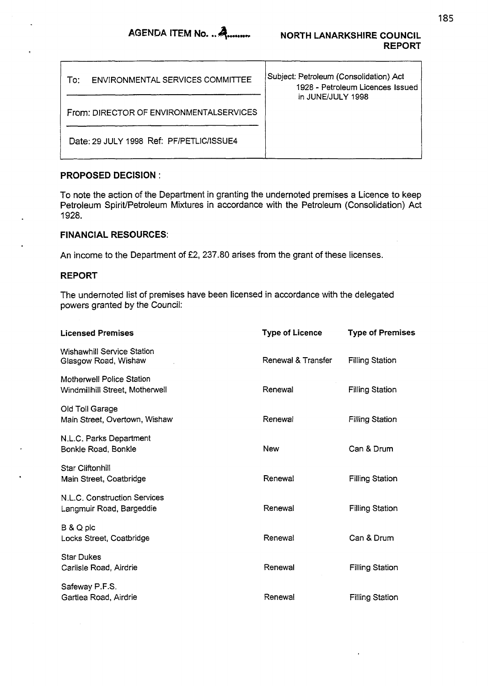| ENVIRONMENTAL SERVICES COMMITTEE<br>T∩∵  | Subject: Petroleum (Consolidation) Act<br>1928 - Petroleum Licences Issued<br>in JUNE/JULY 1998 |
|------------------------------------------|-------------------------------------------------------------------------------------------------|
| From: DIRECTOR OF ENVIRONMENTALSERVICES  |                                                                                                 |
| Date: 29 JULY 1998 Ref: PF/PETLIC/ISSUE4 |                                                                                                 |

## **PROPOSED DECISION** :

To note the action *of* the Department in granting the Undernoted premises a Licence to keep Petroleum Spirit/Petroleum Mixtures in accordance with the Petroleum (Consolidation) Act 1928.

## **FINANCIAL RESOURCES:**

An income to the Department of £2, 237.80 arises from the grant of these licenses.

## **REPORT**

The undernoted list of premises have been licensed in accordance with the delegated powers granted by the Council:

| <b>Licensed Premises</b>                                            | <b>Type of Licence</b> | <b>Type of Premises</b> |
|---------------------------------------------------------------------|------------------------|-------------------------|
| <b>Wishawhill Service Station</b><br>Glasgow Road, Wishaw           | Renewal & Transfer     | <b>Filling Station</b>  |
| <b>Motherwell Police Station</b><br>Windmillhill Street, Motherwell | Renewal                | <b>Filling Station</b>  |
| Old Toll Garage<br>Main Street, Overtown, Wishaw                    | Renewal                | <b>Filling Station</b>  |
| N.L.C. Parks Department<br>Bonkle Road, Bonkle                      | New                    | Can & Drum              |
| <b>Star Cliftonhill</b><br>Main Street, Coatbridge                  | Renewal                | <b>Filling Station</b>  |
| N.L.C. Construction Services<br>Langmuir Road, Bargeddie            | Renewal                | <b>Filling Station</b>  |
| B & Q plc<br>Locks Street, Coatbridge                               | Renewal                | Can & Drum              |
| <b>Star Dukes</b><br>Carlisle Road, Airdrie                         | Renewal                | <b>Filling Station</b>  |
| Safeway P.F.S.<br>Gartlea Road, Airdrie                             | Renewal                | <b>Filling Station</b>  |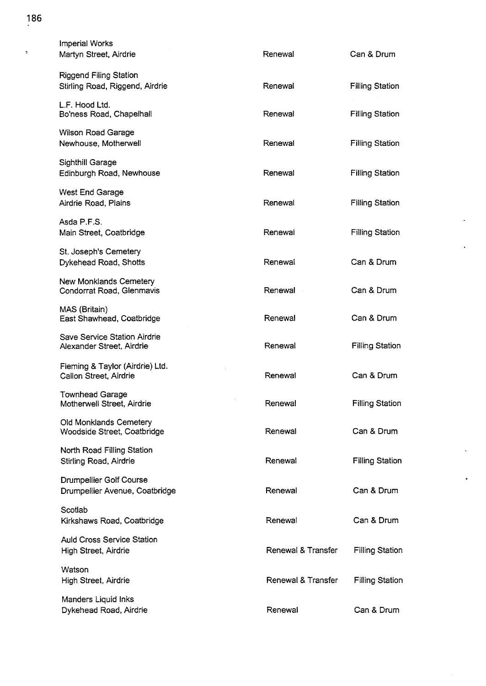| <b>Imperial Works</b><br>Martyn Street, Airdrie                  | Renewal            | Can & Drum             |
|------------------------------------------------------------------|--------------------|------------------------|
| <b>Riggend Filing Station</b><br>Stirling Road, Riggend, Airdrie | Renewal            | <b>Filling Station</b> |
| L.F. Hood Ltd.<br>Bo'ness Road, Chapelhall                       | Renewal            | <b>Filling Station</b> |
| <b>Wilson Road Garage</b><br>Newhouse, Motherwell                | Renewal            | <b>Filling Station</b> |
| Sighthill Garage<br>Edinburgh Road, Newhouse                     | Renewal            | <b>Filling Station</b> |
| West End Garage<br>Airdrie Road, Plains                          | Renewal            | <b>Filling Station</b> |
| Asda P.F.S.<br>Main Street, Coatbridge                           | Renewal            | <b>Filling Station</b> |
| St. Joseph's Cemetery<br>Dykehead Road, Shotts                   | Renewal            | Can & Drum             |
| <b>New Monklands Cemetery</b><br>Condorrat Road, Glenmavis       | Renewal            | Can & Drum             |
| MAS (Britain)<br>East Shawhead, Coatbridge                       | Renewal            | Can & Drum             |
| Save Service Station Airdrie<br>Alexander Street, Airdrie        | Renewal            | <b>Filling Station</b> |
| Fleming & Taylor (Airdrie) Ltd.<br>Callon Street, Airdrie        | Renewal            | Can & Drum             |
| <b>Townhead Garage</b><br>Motherwell Street, Airdrie             | Renewal            | <b>Filling Station</b> |
| Old Monklands Cemetery<br>Woodside Street, Coatbridge            | Renewal            | Can & Drum             |
| North Road Filling Station<br>Stirling Road, Airdrie             | Renewal            | <b>Filling Station</b> |
| <b>Drumpellier Golf Course</b><br>Drumpellier Avenue, Coatbridge | Renewal            | Can & Drum             |
| Scotlab<br>Kirkshaws Road, Coatbridge                            | Renewal            | Can & Drum             |
| <b>Auld Cross Service Station</b><br>High Street, Airdrie        | Renewal & Transfer | <b>Filling Station</b> |
| Watson<br>High Street, Airdrie                                   | Renewal & Transfer | <b>Filling Station</b> |
| Manders Liquid Inks<br>Dykehead Road, Airdrie                    | Renewal            | Can & Drum             |

## **186**

 $\frac{1}{\sqrt{2}}$